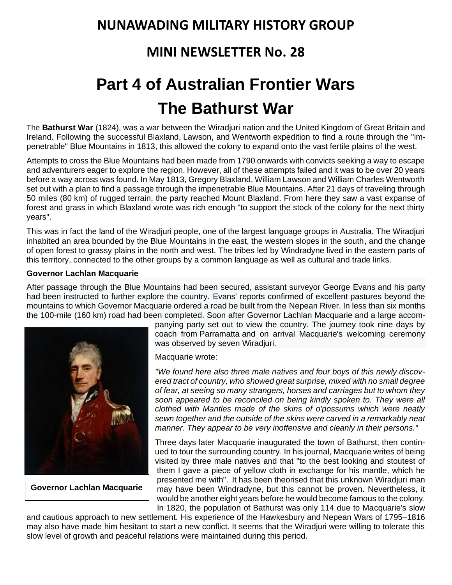## **NUNAWADING MILITARY HISTORY GROUP**

## **MINI NEWSLETTER No. 28**

# **Part 4 of Australian Frontier Wars The Bathurst War**

The **[Bathurst](https://en.wikipedia.org/wiki/Bathurst,_New_South_Wales) War** (1824), was a war between the [Wiradjuri](https://en.wikipedia.org/wiki/Wiradjuri) nation and the United Kingdom of Great Britain and Ireland. Following the successful [Blaxland,](https://en.wikipedia.org/wiki/Gregory_Blaxland) [Lawson,](https://en.wikipedia.org/wiki/William_Lawson_(explorer)) and [Wentworth](https://en.wikipedia.org/wiki/William_Wentworth) expedition to find a route through the "impenetrable" [Blue Mountains](https://en.wikipedia.org/wiki/Blue_Mountains_(New_South_Wales)) in 1813, this allowed the colony to expand onto the vast fertile plains of the west.

Attempts to cross the Blue Mountains had been made from 1790 onwards with convicts seeking a way to escape and adventurers eager to explore the region. However, all of these attempts failed and it was to be over 20 years before a way across was found. In May 1813, Gregory Blaxland, William Lawson and William Charles Wentworth set out with a plan to find a [passage through the impenetrable Blue Mountains.](https://en.wikipedia.org/wiki/1813_crossing_of_the_Blue_Mountains) After 21 days of traveling through 50 miles (80 km) of rugged terrain, the party reached [Mount Blaxland.](https://en.wikipedia.org/wiki/Mount_Blaxland,_New_South_Wales) From here they saw a vast expanse of forest and grass in which Blaxland wrote was rich enough "to support the stock of the colony for the next thirty years".

This was in fact the land of the Wiradjuri people, one of the largest language groups in Australia. The Wiradjuri inhabited an area bounded by the Blue Mountains in the east, the western slopes in the south, and the change of open forest to grassy plains in the north and west. The tribes led by Windradyne lived in the eastern parts of this territory, connected to the other groups by a common language as well as cultural and trade links.

#### **Governor Lachlan Macquarie**

After passage through the Blue Mountains had been secured, assistant surveyor [George Evans](https://en.wikipedia.org/wiki/George_Evans_(explorer)) and his party had been instructed to further explore the country. Evans' reports confirmed of excellent pastures beyond the mountains to which Governor Macquarie ordered a road be built from the [Nepean River.](https://en.wikipedia.org/wiki/Nepean_River) In less than six months the 100-mile (160 km) road had been completed. Soon after Governor [Lachlan Macquarie](https://en.wikipedia.org/wiki/Lachlan_Macquarie) and a large accom-



**Governor Lachlan Macquarie**

panying party set out to view the country. The journey took nine days by coach from [Parramatta](https://en.wikipedia.org/wiki/Parramatta) and on arrival Macquarie's welcoming ceremony was observed by seven Wiradjuri.

Macquarie wrote:

*"We found here also three male natives and four boys of this newly discovered tract of country, who showed great surprise, mixed with no small degree of fear, at seeing so many strangers, horses and carriages but to whom they soon appeared to be reconciled on being kindly spoken to. They were all clothed with Mantles made of the skins of o'possums which were neatly sewn together and the outside of the skins were carved in a remarkably neat manner. They appear to be very inoffensive and cleanly in their persons."*

Three days later Macquarie inaugurated the town of Bathurst, then continued to tour the surrounding country. In his journal, Macquarie writes of being visited by three male natives and that "to the best looking and stoutest of them I gave a piece of yellow cloth in exchange for his mantle, which he presented me with". It has been theorised that this unknown Wiradjuri man may have been Windradyne, but this cannot be proven. Nevertheless, it would be another eight years before he would become famous to the colony. In 1820, the population of Bathurst was only 114 due to Macquarie's slow

and cautious approach to new settlement. His experience of the [Hawkesbury and Nepean Wars](https://en.wikipedia.org/wiki/Hawkesbury_and_Nepean_Wars) of 1795–1816 may also have made him hesitant to start a new conflict. It seems that the Wiradjuri were willing to tolerate this slow level of growth and peaceful relations were maintained during this period.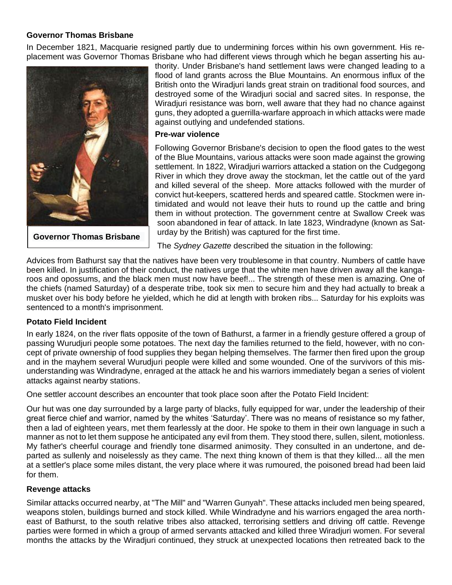#### **Governor Thomas Brisbane**

In December 1821, Macquarie resigned partly due to undermining forces within his own government. His replacement was Governor Thomas Brisbane who had different views through which he began asserting his au-



**Governor Thomas Brisbane**

thority. Under Brisbane's hand settlement laws were changed leading to a flood of land grants across the Blue Mountains. An enormous influx of the British onto the Wiradjuri lands great strain on traditional food sources, and destroyed some of the Wiradjuri social and sacred sites. In response, the Wiradjuri resistance was born, well aware that they had no chance against guns, they adopted a guerrilla-warfare approach in which attacks were made against outlying and undefended stations.

#### **Pre-war violence**

Following Governor Brisbane's decision to open the flood gates to the west of the Blue Mountains, various attacks were soon made against the growing settlement. In 1822, Wiradjuri warriors attacked a station on the [Cudgegong](https://en.wikipedia.org/wiki/Cudgegong_River)  [River](https://en.wikipedia.org/wiki/Cudgegong_River) in which they drove away the stockman, let the cattle out of the yard and killed several of the sheep. More attacks followed with the murder of convict hut-keepers, scattered herds and speared cattle. Stockmen were intimidated and would not leave their huts to round up the cattle and bring them in without protection. The government centre at Swallow Creek was soon abandoned in fear of attack. In late 1823, Windradyne (known as Saturday by the British) was captured for the first time.

The *Sydney Gazette* described the situation in the following:

Advices from Bathurst say that the natives have been very troublesome in that country. Numbers of cattle have been killed. In justification of their conduct, the natives urge that the white men have driven away all the kangaroos and opossums, and the black men must now have beef!... The strength of these men is amazing. One of the chiefs (named Saturday) of a desperate tribe, took six men to secure him and they had actually to break a musket over his body before he yielded, which he did at length with broken ribs... Saturday for his exploits was sentenced to a month's imprisonment.

#### **Potato Field Incident**

In early 1824, on the river flats opposite of the town of Bathurst, a farmer in a friendly gesture offered a group of passing Wurudjuri people some potatoes. The next day the families returned to the field, however, with no concept of private ownership of food supplies they began helping themselves. The farmer then fired upon the group and in the mayhem several Wurudjuri people were killed and some wounded. One of the survivors of this misunderstanding was Windradyne, enraged at the attack he and his warriors immediately began a series of violent attacks against nearby stations.

One settler account describes an encounter that took place soon after the Potato Field Incident:

Our hut was one day surrounded by a large party of blacks, fully equipped for war, under the leadership of their great fierce chief and warrior, named by the whites 'Saturday'. There was no means of resistance so my father, then a lad of eighteen years, met them fearlessly at the door. He spoke to them in their own language in such a manner as not to let them suppose he anticipated any evil from them. They stood there, sullen, silent, motionless. My father's cheerful courage and friendly tone disarmed animosity. They consulted in an undertone, and departed as sullenly and noiselessly as they came. The next thing known of them is that they killed... all the men at a settler's place some miles distant, the very place where it was rumoured, the poisoned bread had been laid for them.

#### **Revenge attacks**

Similar attacks occurred nearby, at "The Mill" and "Warren Gunyah". These attacks included men being speared, weapons stolen, buildings burned and stock killed. While Windradyne and his warriors engaged the area northeast of Bathurst, to the south relative tribes also attacked, terrorising settlers and driving off cattle. Revenge parties were formed in which a group of armed servants attacked and killed three Wiradjuri women. For several months the attacks by the Wiradjuri continued, they struck at unexpected locations then retreated back to the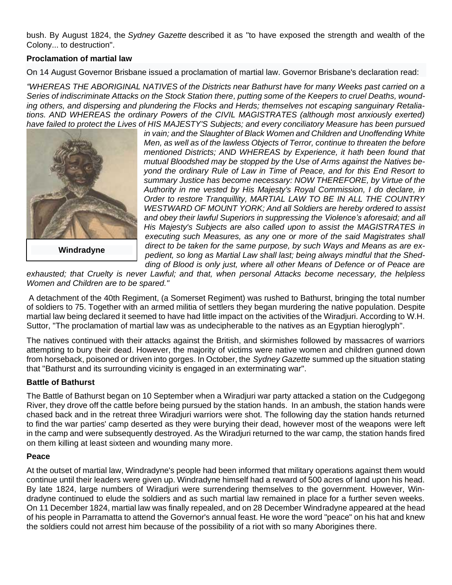bush. By August 1824, the *Sydney Gazette* described it as "to have exposed the strength and wealth of the Colony... to destruction".

#### **Proclamation of martial law**

On 14 August Governor Brisbane issued a proclamation of [martial law.](https://en.wikipedia.org/wiki/Martial_law) Governor Brisbane's declaration read:

*"WHEREAS THE ABORIGINAL NATIVES of the Districts near Bathurst have for many Weeks past carried on a Series of indiscriminate Attacks on the Stock Station there, putting some of the Keepers to cruel Deaths, wounding others, and dispersing and plundering the Flocks and Herds; themselves not escaping sanguinary Retaliations. AND WHEREAS the ordinary Powers of the CIVIL MAGISTRATES (although most anxiously exerted) [have failed to protect the Lives](https://en.wikipedia.org/wiki/File:Windradyne,_Aust._Aboriginal_warrior_from_the_Wiradjuri.jpg) of HIS MAJESTY'S Subjects; and every conciliatory Measure has been pursued* 



**Windradyne**

*in vain; and the Slaughter of Black Women and Children and Unoffending White Men, as well as of the lawless Objects of Terror, continue to threaten the before mentioned Districts; AND WHEREAS by Experience, it hath been found that mutual Bloodshed may be stopped by the Use of Arms against the Natives beyond the ordinary Rule of Law in Time of Peace, and for this End Resort to summary Justice has become necessary: NOW THEREFORE, by Virtue of the Authority in me vested by His Majesty's Royal Commission, I do declare, in Order to restore Tranquillity, MARTIAL LAW TO BE IN ALL THE COUNTRY WESTWARD OF MOUNT YORK; And all Soldiers are hereby ordered to assist and obey their lawful Superiors in suppressing the Violence's aforesaid; and all His Majesty's Subjects are also called upon to assist the MAGISTRATES in executing such Measures, as any one or more of the said Magistrates shall direct to be taken for the same purpose, by such Ways and Means as are expedient, so long as Martial Law shall last; being always mindful that the Shedding of Blood is only just, where all other Means of Defence or of Peace are* 

*exhausted; that Cruelty is never Lawful; and that, when personal Attacks become necessary, the helpless Women and Children are to be spared."*

A detachment of the [40th Regiment,](https://en.wikipedia.org/wiki/40th_Regiment_of_Foot) (a Somerset Regiment) was rushed to Bathurst, bringing the total number of soldiers to 75. Together with an armed militia of settlers they began murdering the native population. Despite martial law being declared it seemed to have had little impact on the activities of the Wiradjuri. According to W.H. Suttor, "The proclamation of martial law was as undecipherable to the natives as an Egyptian hieroglyph".

The natives continued with their attacks against the British, and skirmishes followed by massacres of warriors attempting to bury their dead. However, the majority of victims were native women and children gunned down from horseback, poisoned or driven into gorges. In October, the *Sydney Gazette* summed up the situation stating that "Bathurst and its surrounding vicinity is engaged in an exterminating war".

#### **Battle of Bathurst**

The Battle of Bathurst began on 10 September when a Wiradjuri war party attacked a station on the Cudgegong River, they drove off the cattle before being pursued by the station hands. In an ambush, the station hands were chased back and in the retreat three Wiradjuri warriors were shot. The following day the station hands returned to find the war parties' camp deserted as they were burying their dead, however most of the weapons were left in the camp and were subsequently destroyed. As the Wiradjuri returned to the war camp, the station hands fired on them killing at least sixteen and wounding many more.

#### **Peace**

At the outset of martial law, Windradyne's people had been informed that military operations against them would continue until their leaders were given up. Windradyne himself had a reward of 500 acres of land upon his head. By late 1824, large numbers of Wiradjuri were surrendering themselves to the government. However, Windradyne continued to elude the soldiers and as such martial law remained in place for a further seven weeks. On 11 December 1824, martial law was finally repealed, and on 28 December Windradyne appeared at the head of his people in Parramatta to attend the Governor's annual feast. He wore the word "peace" on his hat and knew the soldiers could not arrest him because of the possibility of a riot with so many Aborigines there.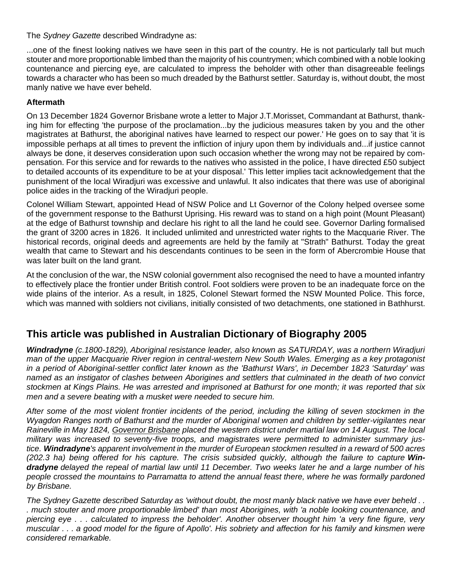The *Sydney Gazette* described Windradyne as:

...one of the finest looking natives we have seen in this part of the country. He is not particularly tall but much stouter and more proportionable limbed than the majority of his countrymen; which combined with a noble looking countenance and piercing eye, are calculated to impress the beholder with other than disagreeable feelings towards a character who has been so much dreaded by the Bathurst settler. Saturday is, without doubt, the most manly native we have ever beheld.

#### **Aftermath**

On 13 December 1824 Governor Brisbane wrote a letter to Major J.T.Morisset, Commandant at Bathurst, thanking him for effecting 'the purpose of the proclamation...by the judicious measures taken by you and the other magistrates at Bathurst, the aboriginal natives have learned to respect our power.' He goes on to say that 'it is impossible perhaps at all times to prevent the infliction of injury upon them by individuals and...if justice cannot always be done, it deserves consideration upon such occasion whether the wrong may not be repaired by compensation. For this service and for rewards to the natives who assisted in the police, I have directed £50 subject to detailed accounts of its expenditure to be at your disposal.' This letter implies tacit acknowledgement that the punishment of the local Wiradjuri was excessive and unlawful. It also indicates that there was use of aboriginal police aides in the tracking of the Wiradjuri people.

Colonel William Stewart, appointed Head of NSW Police and Lt Governor of the Colony helped oversee some of the government response to the Bathurst Uprising. His reward was to stand on a high point (Mount Pleasant) at the edge of Bathurst township and declare his right to all the land he could see. Governor Darling formalised the grant of 3200 acres in 1826. It included unlimited and unrestricted water rights to the Macquarie River. The historical records, original deeds and agreements are held by the family at "Strath" Bathurst. Today the great wealth that came to Stewart and his descendants continues to be seen in the form of [Abercrombie House](https://en.wikipedia.org/wiki/Abercrombie_House) that was later built on the land grant.

At the conclusion of the war, the NSW colonial government also recognised the need to have a mounted infantry to effectively place the frontier under British control. Foot soldiers were proven to be an inadequate force on the wide plains of the interior. As a result, in 1825, Colonel Stewart formed the NSW Mounted Police. This force, which was manned with soldiers not civilians, initially consisted of two detachments, one stationed in Bathhurst.

### **This article was published in [Australian Dictionary of Biography](http://adb.anu.edu.au/about-us/) 2005**

*Windradyne (c.1800-1829), Aboriginal resistance leader, also known as SATURDAY, was a northern Wiradjuri man of the upper Macquarie River region in central-western New South Wales. Emerging as a key protagonist in a period of Aboriginal-settler conflict later known as the 'Bathurst Wars', in December 1823 'Saturday' was named as an instigator of clashes between Aborigines and settlers that culminated in the death of two convict stockmen at Kings Plains. He was arrested and imprisoned at Bathurst for one month; it was reported that six men and a severe beating with a musket were needed to secure him.*

*After some of the most violent frontier incidents of the period, including the killing of seven stockmen in the Wyagdon Ranges north of Bathurst and the murder of Aboriginal women and children by settler-vigilantes near Raineville in May 1824, [Governor Brisbane](http://adb.anu.edu.au/biography/brisbane-thomas-makdougall-1827) placed the western district under martial law on 14 August. The local military was increased to seventy-five troops, and magistrates were permitted to administer summary justice. Windradyne's apparent involvement in the murder of European stockmen resulted in a reward of 500 acres (202.3 ha) being offered for his capture. The crisis subsided quickly, although the failure to capture Windradyne delayed the repeal of martial law until 11 December. Two weeks later he and a large number of his people crossed the mountains to Parramatta to attend the annual feast there, where he was formally pardoned by Brisbane.*

*The Sydney Gazette described Saturday as 'without doubt, the most manly black native we have ever beheld . . . much stouter and more proportionable limbed' than most Aborigines, with 'a noble looking countenance, and piercing eye . . . calculated to impress the beholder'. Another observer thought him 'a very fine figure, very muscular . . . a good model for the figure of Apollo'. His sobriety and affection for his family and kinsmen were considered remarkable.*